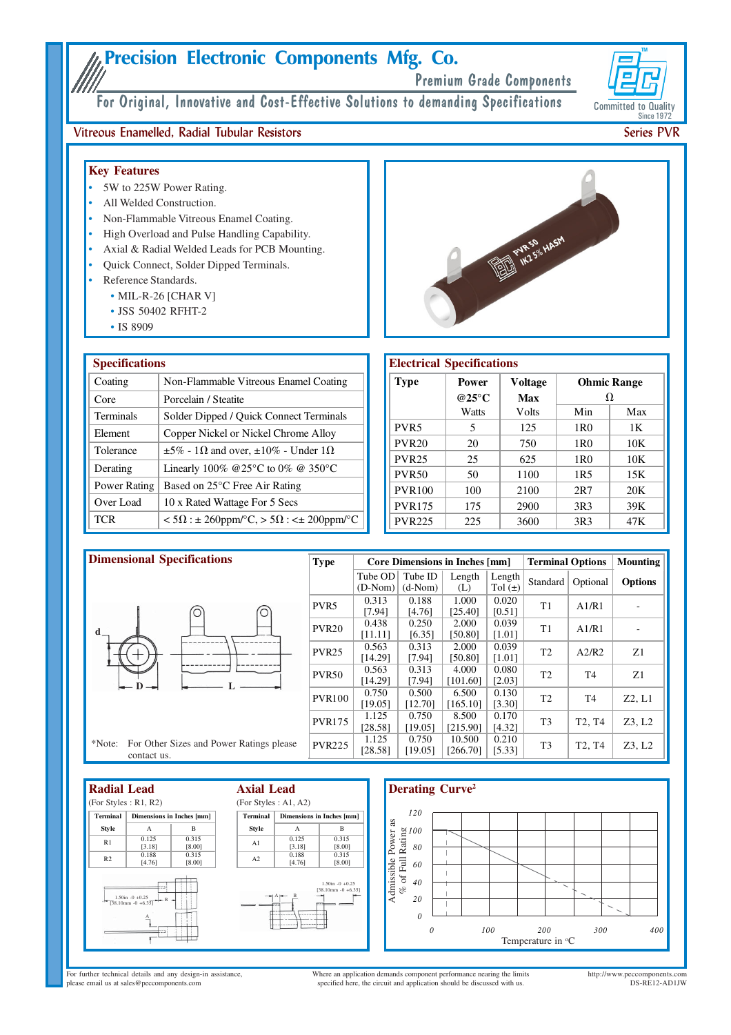# Precision Electronic Components Mfg. Co.

**Premium Grade Components** 

**Committed to Quality** Since 1972

Series PVR

For Original, Innovative and Cost-Effective Solutions to demanding Specifications

## Vitreous Enamelled, Radial Tubular Resistors

### **Key Features**

- 5W to 225W Power Rating.
- All Welded Construction.
- Non-Flammable Vitreous Enamel Coating.
- High Overload and Pulse Handling Capability.
- Axial & Radial Welded Leads for PCB Mounting.
- Quick Connect, Solder Dipped Terminals.
	- Reference Standards.
	- $\bullet$  MIL-R-26 [CHAR V]
	- JSS 50402 RFHT-2
	- IS 8909

| <b>Specifications</b>                                            |  |  |  |  |  |  |  |  |
|------------------------------------------------------------------|--|--|--|--|--|--|--|--|
| Non-Flammable Vitreous Enamel Coating                            |  |  |  |  |  |  |  |  |
| Porcelain / Steatite                                             |  |  |  |  |  |  |  |  |
| Solder Dipped / Quick Connect Terminals                          |  |  |  |  |  |  |  |  |
| Copper Nickel or Nickel Chrome Alloy                             |  |  |  |  |  |  |  |  |
| $\pm 5\%$ - 1 $\Omega$ and over, $\pm 10\%$ - Under 1 $\Omega$   |  |  |  |  |  |  |  |  |
| Linearly 100% @25 $\degree$ C to 0% @ 350 $\degree$ C            |  |  |  |  |  |  |  |  |
| Based on 25 <sup>o</sup> C Free Air Rating                       |  |  |  |  |  |  |  |  |
| 10 x Rated Wattage For 5 Secs                                    |  |  |  |  |  |  |  |  |
| $< 5\Omega : \pm 260$ ppm/°C, > 5 $\Omega : \leq \pm 200$ ppm/°C |  |  |  |  |  |  |  |  |
|                                                                  |  |  |  |  |  |  |  |  |



| <b>Electrical Specifications</b> |                          |         |                         |     |  |  |  |  |  |  |
|----------------------------------|--------------------------|---------|-------------------------|-----|--|--|--|--|--|--|
| <b>Type</b>                      | Power                    | Voltage | <b>Ohmic Range</b><br>Ω |     |  |  |  |  |  |  |
|                                  | @25 $\mathrm{^{\circ}C}$ | Max     |                         |     |  |  |  |  |  |  |
|                                  | Watts                    | Volts   | Min                     | Max |  |  |  |  |  |  |
| PVR <sub>5</sub>                 | 5                        | 125     | 1 <sub>R0</sub>         | 1K  |  |  |  |  |  |  |
| <b>PVR20</b>                     | 20                       | 750     | 1 <sub>R0</sub>         | 10K |  |  |  |  |  |  |
| <b>PVR25</b>                     | 25                       | 625     | 1 <sub>R0</sub>         | 10K |  |  |  |  |  |  |
| <b>PVR50</b>                     | 50                       | 1100    | 1R <sub>5</sub>         | 15K |  |  |  |  |  |  |
| <b>PVR100</b>                    | 100                      | 2100    | 2R7                     | 20K |  |  |  |  |  |  |
| <b>PVR175</b>                    | 175                      | 2900    | 3R3                     | 39K |  |  |  |  |  |  |
| <b>PVR225</b>                    | 225                      | 3600    | 3R3                     | 47K |  |  |  |  |  |  |





For further technical details and any design-in assistance,<br>please email us at sales@peccomponents.com

Where an application demands component performance nearing the limits<br>specified here, the circuit and application should be discussed with us.